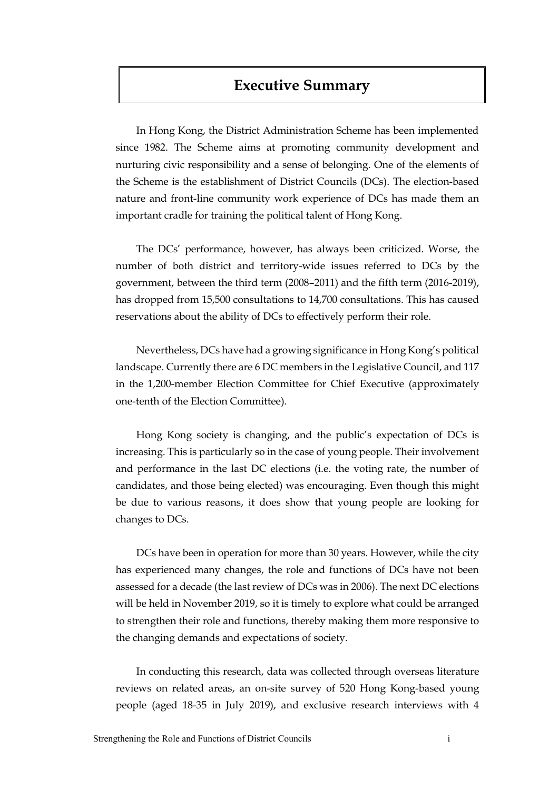# **Executive Summary**

In Hong Kong, the District Administration Scheme has been implemented since 1982. The Scheme aims at promoting community development and nurturing civic responsibility and a sense of belonging. One of the elements of the Scheme is the establishment of District Councils (DCs). The election-based nature and front-line community work experience of DCs has made them an important cradle for training the political talent of Hong Kong.

The DCs' performance, however, has always been criticized. Worse, the number of both district and territory-wide issues referred to DCs by the government, between the third term (2008–2011) and the fifth term (2016-2019), has dropped from 15,500 consultations to 14,700 consultations. This has caused reservations about the ability of DCs to effectively perform their role.

Nevertheless, DCs have had a growing significance in Hong Kong's political landscape. Currently there are 6 DC members in the Legislative Council, and 117 in the 1,200-member Election Committee for Chief Executive (approximately one-tenth of the Election Committee).

Hong Kong society is changing, and the public's expectation of DCs is increasing. This is particularly so in the case of young people. Their involvement and performance in the last DC elections (i.e. the voting rate, the number of candidates, and those being elected) was encouraging. Even though this might be due to various reasons, it does show that young people are looking for changes to DCs.

DCs have been in operation for more than 30 years. However, while the city has experienced many changes, the role and functions of DCs have not been assessed for a decade (the last review of DCs was in 2006). The next DC elections will be held in November 2019, so it is timely to explore what could be arranged to strengthen their role and functions, thereby making them more responsive to the changing demands and expectations of society.

In conducting this research, data was collected through overseas literature reviews on related areas, an on-site survey of 520 Hong Kong-based young people (aged 18-35 in July 2019), and exclusive research interviews with 4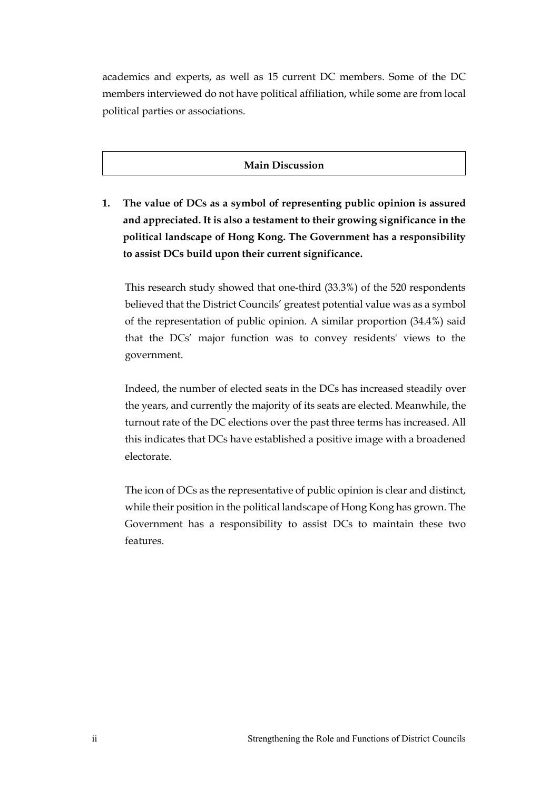academics and experts, as well as 15 current DC members. Some of the DC members interviewed do not have political affiliation, while some are from local political parties or associations.

### **Main Discussion**

**1. The value of DCs as a symbol of representing public opinion is assured and appreciated. It is also a testament to their growing significance in the political landscape of Hong Kong. The Government has a responsibility to assist DCs build upon their current significance.**

This research study showed that one-third (33.3%) of the 520 respondents believed that the District Councils' greatest potential value was as a symbol of the representation of public opinion. A similar proportion (34.4%) said that the DCs' major function was to convey residents' views to the government.

Indeed, the number of elected seats in the DCs has increased steadily over the years, and currently the majority of its seats are elected. Meanwhile, the turnout rate of the DC elections over the past three terms has increased. All this indicates that DCs have established a positive image with a broadened electorate.

The icon of DCs as the representative of public opinion is clear and distinct, while their position in the political landscape of Hong Kong has grown. The Government has a responsibility to assist DCs to maintain these two features.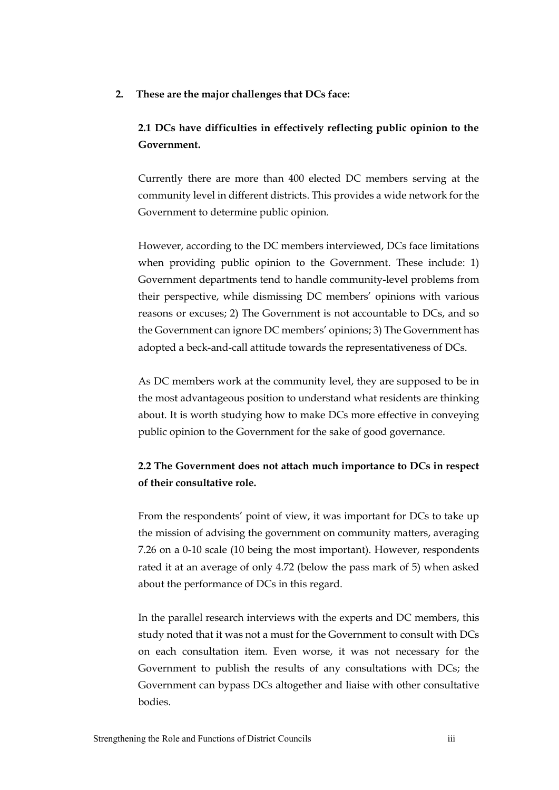**2. These are the major challenges that DCs face:** 

### **2.1 DCs have difficulties in effectively reflecting public opinion to the Government.**

Currently there are more than 400 elected DC members serving at the community level in different districts. This provides a wide network for the Government to determine public opinion.

However, according to the DC members interviewed, DCs face limitations when providing public opinion to the Government. These include: 1) Government departments tend to handle community-level problems from their perspective, while dismissing DC members' opinions with various reasons or excuses; 2) The Government is not accountable to DCs, and so the Government can ignore DC members' opinions; 3) The Government has adopted a beck-and-call attitude towards the representativeness of DCs.

As DC members work at the community level, they are supposed to be in the most advantageous position to understand what residents are thinking about. It is worth studying how to make DCs more effective in conveying public opinion to the Government for the sake of good governance.

## **2.2 The Government does not attach much importance to DCs in respect of their consultative role.**

From the respondents' point of view, it was important for DCs to take up the mission of advising the government on community matters, averaging 7.26 on a 0-10 scale (10 being the most important). However, respondents rated it at an average of only 4.72 (below the pass mark of 5) when asked about the performance of DCs in this regard.

In the parallel research interviews with the experts and DC members, this study noted that it was not a must for the Government to consult with DCs on each consultation item. Even worse, it was not necessary for the Government to publish the results of any consultations with DCs; the Government can bypass DCs altogether and liaise with other consultative bodies.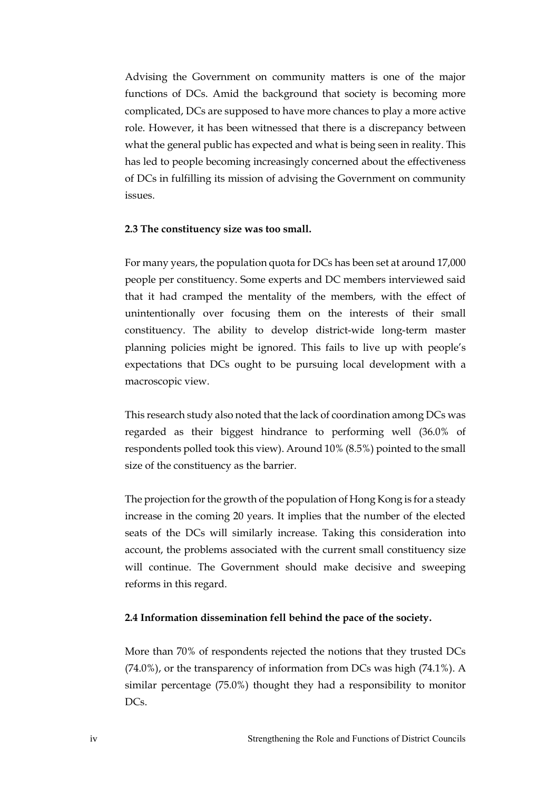Advising the Government on community matters is one of the major functions of DCs. Amid the background that society is becoming more complicated, DCs are supposed to have more chances to play a more active role. However, it has been witnessed that there is a discrepancy between what the general public has expected and what is being seen in reality. This has led to people becoming increasingly concerned about the effectiveness of DCs in fulfilling its mission of advising the Government on community issues.

#### **2.3 The constituency size was too small.**

For many years, the population quota for DCs has been set at around 17,000 people per constituency. Some experts and DC members interviewed said that it had cramped the mentality of the members, with the effect of unintentionally over focusing them on the interests of their small constituency. The ability to develop district-wide long-term master planning policies might be ignored. This fails to live up with people's expectations that DCs ought to be pursuing local development with a macroscopic view.

This research study also noted that the lack of coordination among DCs was regarded as their biggest hindrance to performing well (36.0% of respondents polled took this view). Around 10% (8.5%) pointed to the small size of the constituency as the barrier.

The projection for the growth of the population of Hong Kong is for a steady increase in the coming 20 years. It implies that the number of the elected seats of the DCs will similarly increase. Taking this consideration into account, the problems associated with the current small constituency size will continue. The Government should make decisive and sweeping reforms in this regard.

#### **2.4 Information dissemination fell behind the pace of the society.**

More than 70% of respondents rejected the notions that they trusted DCs (74.0%), or the transparency of information from DCs was high (74.1%). A similar percentage (75.0%) thought they had a responsibility to monitor DC<sub>s</sub>.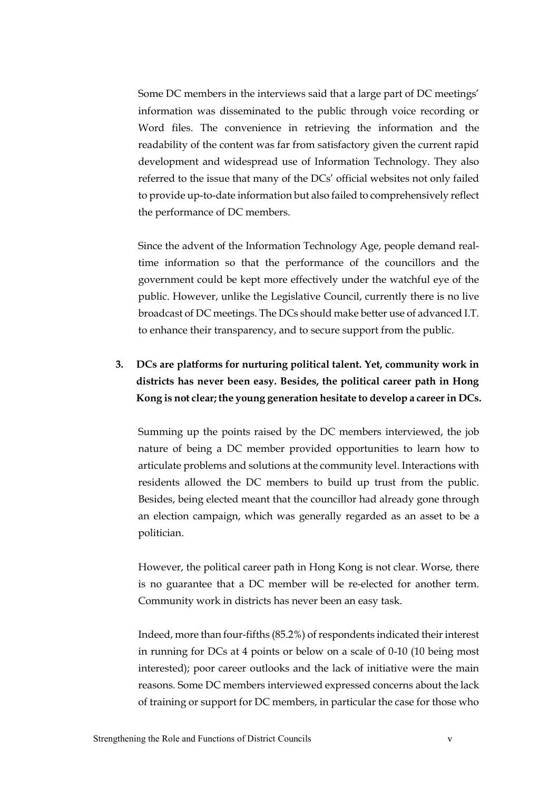Some DC members in the interviews said that a large part of DC meetings' information was disseminated to the public through voice recording or Word files. The convenience in retrieving the information and the readability of the content was far from satisfactory given the current rapid development and widespread use of Information Technology. They also referred to the issue that many of the DCs' official websites not only failed to provide up-to-date information but also failed to comprehensively reflect the performance of DC members.

Since the advent of the Information Technology Age, people demand realtime information so that the performance of the councillors and the government could be kept more effectively under the watchful eye of the public. However, unlike the Legislative Council, currently there is no live broadcast of DC meetings. The DCs should make better use of advanced I.T. to enhance their transparency, and to secure support from the public.

# **3. DCs are platforms for nurturing political talent. Yet, community work in districts has never been easy. Besides, the political career path in Hong Kong is not clear; the young generation hesitate to develop a career in DCs.**

Summing up the points raised by the DC members interviewed, the job nature of being a DC member provided opportunities to learn how to articulate problems and solutions at the community level. Interactions with residents allowed the DC members to build up trust from the public. Besides, being elected meant that the councillor had already gone through an election campaign, which was generally regarded as an asset to be a politician.

However, the political career path in Hong Kong is not clear. Worse, there is no guarantee that a DC member will be re-elected for another term. Community work in districts has never been an easy task.

Indeed, more than four-fifths (85.2%) of respondents indicated their interest in running for DCs at 4 points or below on a scale of 0-10 (10 being most interested); poor career outlooks and the lack of initiative were the main reasons. Some DC members interviewed expressed concerns about the lack of training or support for DC members, in particular the case for those who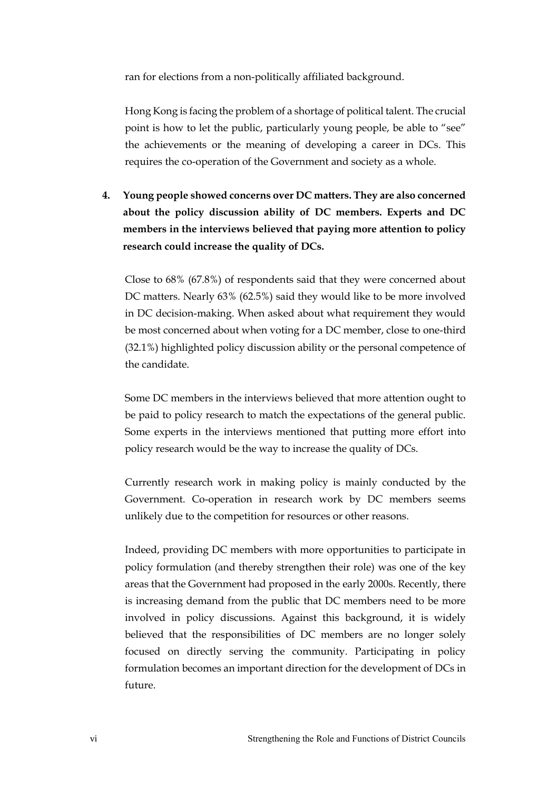ran for elections from a non-politically affiliated background.

Hong Kong is facing the problem of a shortage of political talent. The crucial point is how to let the public, particularly young people, be able to "see" the achievements or the meaning of developing a career in DCs. This requires the co-operation of the Government and society as a whole.

**4. Young people showed concerns over DC matters. They are also concerned about the policy discussion ability of DC members. Experts and DC members in the interviews believed that paying more attention to policy research could increase the quality of DCs.**

Close to 68% (67.8%) of respondents said that they were concerned about DC matters. Nearly 63% (62.5%) said they would like to be more involved in DC decision-making. When asked about what requirement they would be most concerned about when voting for a DC member, close to one-third (32.1%) highlighted policy discussion ability or the personal competence of the candidate.

Some DC members in the interviews believed that more attention ought to be paid to policy research to match the expectations of the general public. Some experts in the interviews mentioned that putting more effort into policy research would be the way to increase the quality of DCs.

Currently research work in making policy is mainly conducted by the Government. Co-operation in research work by DC members seems unlikely due to the competition for resources or other reasons.

Indeed, providing DC members with more opportunities to participate in policy formulation (and thereby strengthen their role) was one of the key areas that the Government had proposed in the early 2000s. Recently, there is increasing demand from the public that DC members need to be more involved in policy discussions. Against this background, it is widely believed that the responsibilities of DC members are no longer solely focused on directly serving the community. Participating in policy formulation becomes an important direction for the development of DCs in future.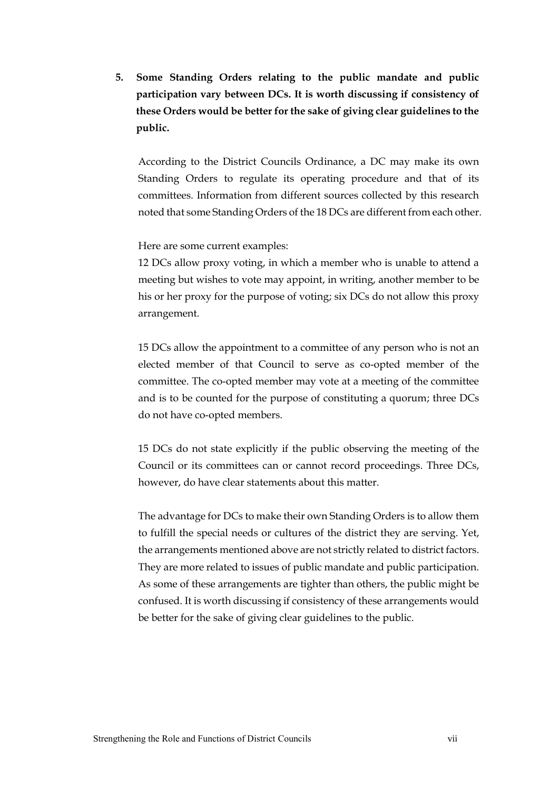**5. Some Standing Orders relating to the public mandate and public participation vary between DCs. It is worth discussing if consistency of these Orders would be better for the sake of giving clear guidelines to the public.** 

According to the District Councils Ordinance, a DC may make its own Standing Orders to regulate its operating procedure and that of its committees. Information from different sources collected by this research noted that some Standing Orders of the 18 DCs are different from each other.

Here are some current examples:

12 DCs allow proxy voting, in which a member who is unable to attend a meeting but wishes to vote may appoint, in writing, another member to be his or her proxy for the purpose of voting; six DCs do not allow this proxy arrangement.

15 DCs allow the appointment to a committee of any person who is not an elected member of that Council to serve as co-opted member of the committee. The co-opted member may vote at a meeting of the committee and is to be counted for the purpose of constituting a quorum; three DCs do not have co-opted members.

15 DCs do not state explicitly if the public observing the meeting of the Council or its committees can or cannot record proceedings. Three DCs, however, do have clear statements about this matter.

The advantage for DCs to make their own Standing Orders is to allow them to fulfill the special needs or cultures of the district they are serving. Yet, the arrangements mentioned above are not strictly related to district factors. They are more related to issues of public mandate and public participation. As some of these arrangements are tighter than others, the public might be confused. It is worth discussing if consistency of these arrangements would be better for the sake of giving clear guidelines to the public.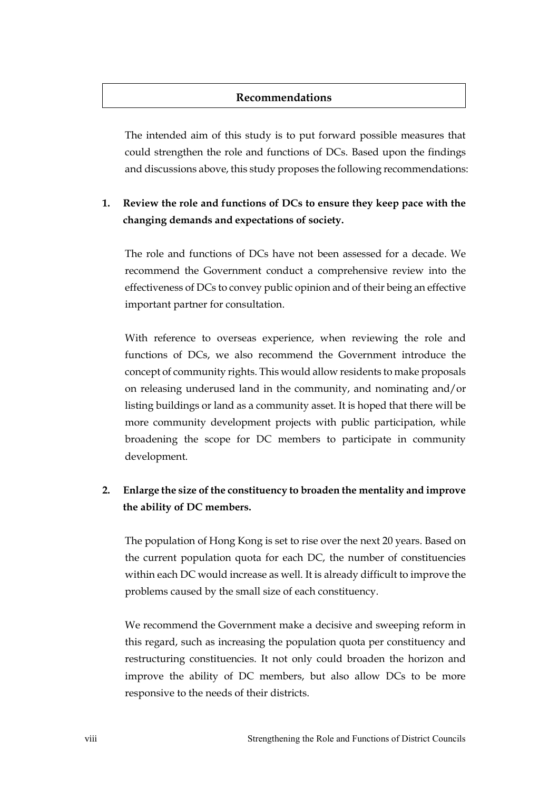### **Recommendations**

The intended aim of this study is to put forward possible measures that could strengthen the role and functions of DCs. Based upon the findings and discussions above, this study proposes the following recommendations:

### **1. Review the role and functions of DCs to ensure they keep pace with the changing demands and expectations of society.**

The role and functions of DCs have not been assessed for a decade. We recommend the Government conduct a comprehensive review into the effectiveness of DCs to convey public opinion and of their being an effective important partner for consultation.

With reference to overseas experience, when reviewing the role and functions of DCs, we also recommend the Government introduce the concept of community rights. This would allow residents to make proposals on releasing underused land in the community, and nominating and/or listing buildings or land as a community asset. It is hoped that there will be more community development projects with public participation, while broadening the scope for DC members to participate in community development.

## **2. Enlarge the size of the constituency to broaden the mentality and improve the ability of DC members.**

The population of Hong Kong is set to rise over the next 20 years. Based on the current population quota for each DC, the number of constituencies within each DC would increase as well. It is already difficult to improve the problems caused by the small size of each constituency.

We recommend the Government make a decisive and sweeping reform in this regard, such as increasing the population quota per constituency and restructuring constituencies. It not only could broaden the horizon and improve the ability of DC members, but also allow DCs to be more responsive to the needs of their districts.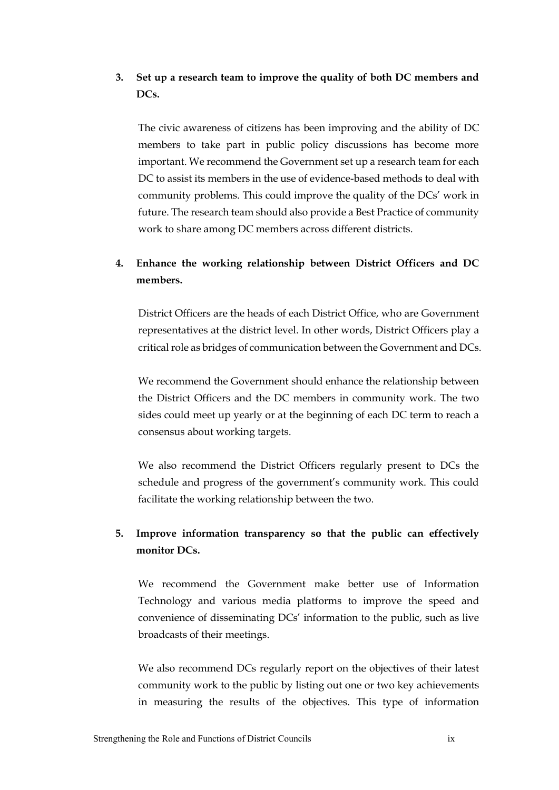## **3. Set up a research team to improve the quality of both DC members and DCs.**

The civic awareness of citizens has been improving and the ability of DC members to take part in public policy discussions has become more important. We recommend the Government set up a research team for each DC to assist its members in the use of evidence-based methods to deal with community problems. This could improve the quality of the DCs' work in future. The research team should also provide a Best Practice of community work to share among DC members across different districts.

# **4. Enhance the working relationship between District Officers and DC members.**

District Officers are the heads of each District Office, who are Government representatives at the district level. In other words, District Officers play a critical role as bridges of communication between the Government and DCs.

We recommend the Government should enhance the relationship between the District Officers and the DC members in community work. The two sides could meet up yearly or at the beginning of each DC term to reach a consensus about working targets.

We also recommend the District Officers regularly present to DCs the schedule and progress of the government's community work. This could facilitate the working relationship between the two.

# **5. Improve information transparency so that the public can effectively monitor DCs.**

We recommend the Government make better use of Information Technology and various media platforms to improve the speed and convenience of disseminating DCs' information to the public, such as live broadcasts of their meetings.

We also recommend DCs regularly report on the objectives of their latest community work to the public by listing out one or two key achievements in measuring the results of the objectives. This type of information